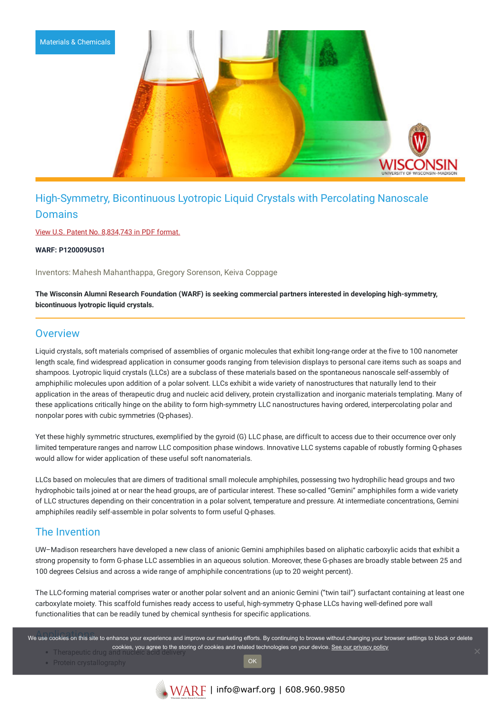

# High-Symmetry, Bicontinuous Lyotropic Liquid Crystals with Percolating Nanoscale Domains

View U.S. Patent No. [8,834,743](https://www.warf.org/wp-content/uploads/technologies/ipstatus/P120009US01.PDF) in PDF format.

**WARF: P120009US01**

Inventors: Mahesh Mahanthappa, Gregory Sorenson, Keiva Coppage

**The Wisconsin Alumni Research Foundation (WARF) is seeking commercial partners interested in developing high-symmetry, bicontinuous lyotropic liquid crystals.**

#### **Overview**

Liquid crystals, soft materials comprised of assemblies of organic molecules that exhibit long-range order at the five to 100 nanometer length scale, find widespread application in consumer goods ranging from television displays to personal care items such as soaps and shampoos. Lyotropic liquid crystals (LLCs) are a subclass of these materials based on the spontaneous nanoscale self-assembly of amphiphilic molecules upon addition of a polar solvent. LLCs exhibit a wide variety of nanostructures that naturally lend to their application in the areas of therapeutic drug and nucleic acid delivery, protein crystallization and inorganic materials templating. Many of these applications critically hinge on the ability to form high-symmetry LLC nanostructures having ordered, interpercolating polar and nonpolar pores with cubic symmetries (Q-phases).

Yet these highly symmetric structures, exemplified by the gyroid (G) LLC phase, are difficult to access due to their occurrence over only limited temperature ranges and narrow LLC composition phase windows. Innovative LLC systems capable of robustly forming Q-phases would allow for wider application of these useful soft nanomaterials.

LLCs based on molecules that are dimers of traditional small molecule amphiphiles, possessing two hydrophilic head groups and two hydrophobic tails joined at or near the head groups, are of particular interest. These so-called "Gemini" amphiphiles form a wide variety of LLC structures depending on their concentration in a polar solvent, temperature and pressure. At intermediate concentrations, Gemini amphiphiles readily self-assemble in polar solvents to form useful Q-phases.

### The Invention

UW–Madison researchers have developed a new class of anionic Gemini amphiphiles based on aliphatic carboxylic acids that exhibit a strong propensity to form G-phase LLC assemblies in an aqueous solution. Moreover, these G-phases are broadly stable between 25 and 100 degrees Celsius and across a wide range of amphiphile concentrations (up to 20 weight percent).

The LLC-forming material comprises water or another polar solvent and an anionic Gemini ("twin tail") surfactant containing at least one carboxylate moiety. This scaffold furnishes ready access to useful, high-symmetry Q-phase LLCs having well-defined pore wall functionalities that can be readily tuned by chemical synthesis for specific applications.

we use cookies on this site to enhance your experience and improve our marketing efforts. By continuing to browse without changing your browser settings to block or delete cookies, you agree to the storing of cookies and related technologies on your device. [See our privacy policy](https://www.warf.org/privacy-policy/)

• Protein crystallography

OK